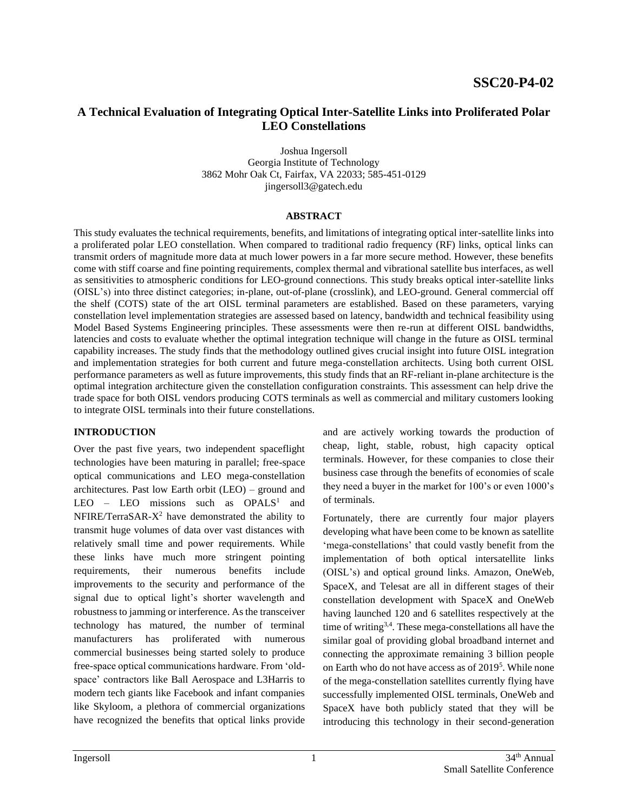# **A Technical Evaluation of Integrating Optical Inter-Satellite Links into Proliferated Polar LEO Constellations**

Joshua Ingersoll Georgia Institute of Technology 3862 Mohr Oak Ct, Fairfax, VA 22033; 585-451-0129 jingersoll3@gatech.edu

#### **ABSTRACT**

This study evaluates the technical requirements, benefits, and limitations of integrating optical inter-satellite links into a proliferated polar LEO constellation. When compared to traditional radio frequency (RF) links, optical links can transmit orders of magnitude more data at much lower powers in a far more secure method. However, these benefits come with stiff coarse and fine pointing requirements, complex thermal and vibrational satellite bus interfaces, as well as sensitivities to atmospheric conditions for LEO-ground connections. This study breaks optical inter-satellite links (OISL's) into three distinct categories; in-plane, out-of-plane (crosslink), and LEO-ground. General commercial off the shelf (COTS) state of the art OISL terminal parameters are established. Based on these parameters, varying constellation level implementation strategies are assessed based on latency, bandwidth and technical feasibility using Model Based Systems Engineering principles. These assessments were then re-run at different OISL bandwidths, latencies and costs to evaluate whether the optimal integration technique will change in the future as OISL terminal capability increases. The study finds that the methodology outlined gives crucial insight into future OISL integration and implementation strategies for both current and future mega-constellation architects. Using both current OISL performance parameters as well as future improvements, this study finds that an RF-reliant in-plane architecture is the optimal integration architecture given the constellation configuration constraints. This assessment can help drive the trade space for both OISL vendors producing COTS terminals as well as commercial and military customers looking to integrate OISL terminals into their future constellations.

### **INTRODUCTION**

Over the past five years, two independent spaceflight technologies have been maturing in parallel; free-space optical communications and LEO mega-constellation architectures. Past low Earth orbit (LEO) – ground and LEO – LEO missions such as  $OPALS<sup>1</sup>$  and NFIRE/TerraSAR- $X^2$  have demonstrated the ability to transmit huge volumes of data over vast distances with relatively small time and power requirements. While these links have much more stringent pointing requirements, their numerous benefits include improvements to the security and performance of the signal due to optical light's shorter wavelength and robustness to jamming or interference. As the transceiver technology has matured, the number of terminal manufacturers has proliferated with numerous commercial businesses being started solely to produce free-space optical communications hardware. From 'oldspace' contractors like Ball Aerospace and L3Harris to modern tech giants like Facebook and infant companies like Skyloom, a plethora of commercial organizations have recognized the benefits that optical links provide

and are actively working towards the production of cheap, light, stable, robust, high capacity optical terminals. However, for these companies to close their business case through the benefits of economies of scale they need a buyer in the market for 100's or even 1000's of terminals.

Fortunately, there are currently four major players developing what have been come to be known as satellite 'mega-constellations' that could vastly benefit from the implementation of both optical intersatellite links (OISL's) and optical ground links. Amazon, OneWeb, SpaceX, and Telesat are all in different stages of their constellation development with SpaceX and OneWeb having launched 120 and 6 satellites respectively at the time of writing3,4. These mega-constellations all have the similar goal of providing global broadband internet and connecting the approximate remaining 3 billion people on Earth who do not have access as of 2019<sup>5</sup>. While none of the mega-constellation satellites currently flying have successfully implemented OISL terminals, OneWeb and SpaceX have both publicly stated that they will be introducing this technology in their second-generation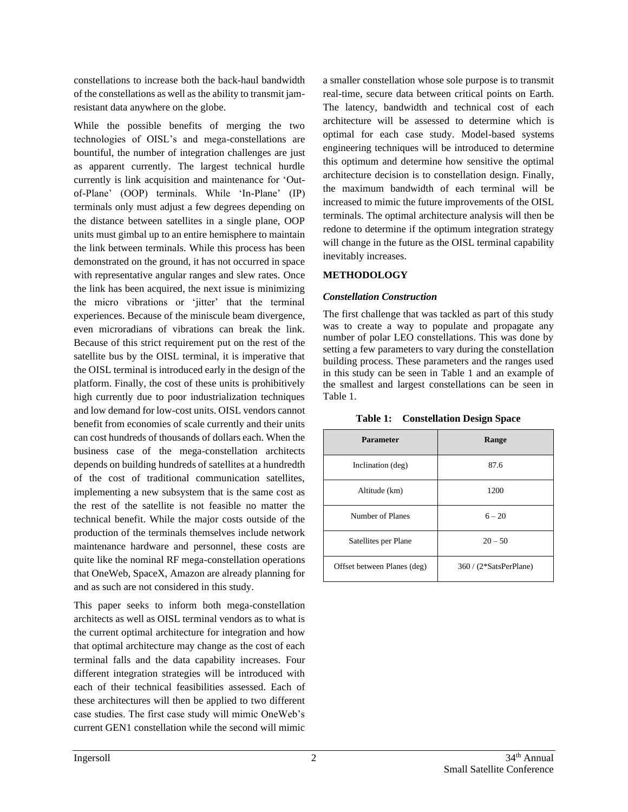constellations to increase both the back-haul bandwidth of the constellations as well as the ability to transmit jamresistant data anywhere on the globe.

While the possible benefits of merging the two technologies of OISL's and mega-constellations are bountiful, the number of integration challenges are just as apparent currently. The largest technical hurdle currently is link acquisition and maintenance for 'Outof-Plane' (OOP) terminals. While 'In-Plane' (IP) terminals only must adjust a few degrees depending on the distance between satellites in a single plane, OOP units must gimbal up to an entire hemisphere to maintain the link between terminals. While this process has been demonstrated on the ground, it has not occurred in space with representative angular ranges and slew rates. Once the link has been acquired, the next issue is minimizing the micro vibrations or 'jitter' that the terminal experiences. Because of the miniscule beam divergence, even microradians of vibrations can break the link. Because of this strict requirement put on the rest of the satellite bus by the OISL terminal, it is imperative that the OISL terminal is introduced early in the design of the platform. Finally, the cost of these units is prohibitively high currently due to poor industrialization techniques and low demand for low-cost units. OISL vendors cannot benefit from economies of scale currently and their units can cost hundreds of thousands of dollars each. When the business case of the mega-constellation architects depends on building hundreds of satellites at a hundredth of the cost of traditional communication satellites, implementing a new subsystem that is the same cost as the rest of the satellite is not feasible no matter the technical benefit. While the major costs outside of the production of the terminals themselves include network maintenance hardware and personnel, these costs are quite like the nominal RF mega-constellation operations that OneWeb, SpaceX, Amazon are already planning for and as such are not considered in this study.

This paper seeks to inform both mega-constellation architects as well as OISL terminal vendors as to what is the current optimal architecture for integration and how that optimal architecture may change as the cost of each terminal falls and the data capability increases. Four different integration strategies will be introduced with each of their technical feasibilities assessed. Each of these architectures will then be applied to two different case studies. The first case study will mimic OneWeb's current GEN1 constellation while the second will mimic

a smaller constellation whose sole purpose is to transmit real-time, secure data between critical points on Earth. The latency, bandwidth and technical cost of each architecture will be assessed to determine which is optimal for each case study. Model-based systems engineering techniques will be introduced to determine this optimum and determine how sensitive the optimal architecture decision is to constellation design. Finally, the maximum bandwidth of each terminal will be increased to mimic the future improvements of the OISL terminals. The optimal architecture analysis will then be redone to determine if the optimum integration strategy will change in the future as the OISL terminal capability inevitably increases.

### **METHODOLOGY**

### *Constellation Construction*

The first challenge that was tackled as part of this study was to create a way to populate and propagate any number of polar LEO constellations. This was done by setting a few parameters to vary during the constellation building process. These parameters and the ranges used in this study can be seen in [Table 1](#page-1-0) and an example of the smallest and largest constellations can be seen in [Table 1.](#page-1-0) 

<span id="page-1-0"></span>

| <b>Parameter</b>            | Range                  |
|-----------------------------|------------------------|
| Inclination (deg)           | 87.6                   |
| Altitude (km)               | 1200                   |
| Number of Planes            | $6 - 20$               |
| Satellites per Plane        | $20 - 50$              |
| Offset between Planes (deg) | 360 / (2*SatsPerPlane) |

### **Table 1: Constellation Design Space**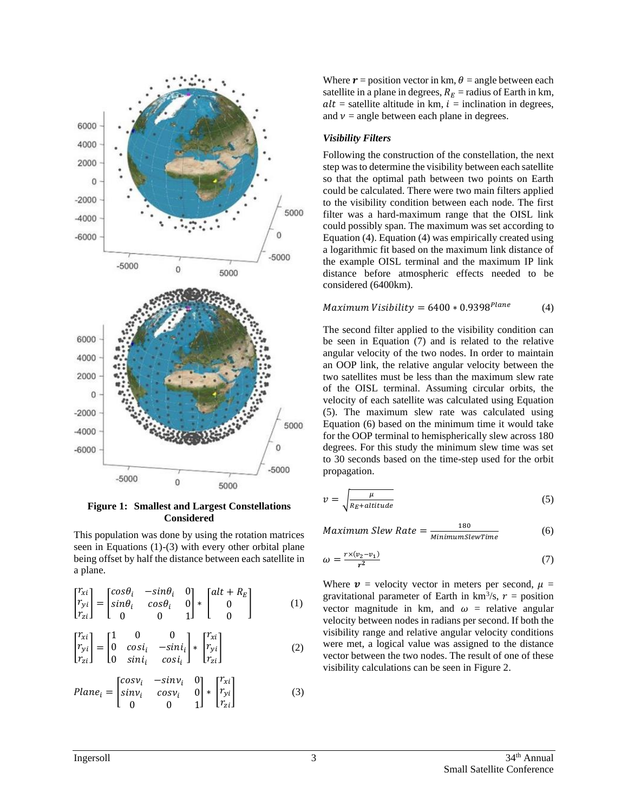

**Figure 1: Smallest and Largest Constellations Considered**

This population was done by using the rotation matrices seen in Equations (1)-(3) with every other orbital plane being offset by half the distance between each satellite in a plane.

$$
\begin{bmatrix} r_{xi} \\ r_{yi} \\ r_{zi} \end{bmatrix} = \begin{bmatrix} \cos \theta_i & -\sin \theta_i & 0 \\ \sin \theta_i & \cos \theta_i & 0 \\ 0 & 0 & 1 \end{bmatrix} * \begin{bmatrix} alt + R_E \\ 0 \\ 0 \end{bmatrix}
$$
 (1)

$$
\begin{bmatrix} r_{xi} \\ r_{yi} \\ r_{zi} \end{bmatrix} = \begin{bmatrix} 1 & 0 & 0 \\ 0 & cosi_i & -sini_i \\ 0 & sini_i & cosi_i \end{bmatrix} * \begin{bmatrix} r_{xi} \\ r_{yi} \\ r_{zi} \end{bmatrix}
$$
 (2)

$$
Plane_{i} = \begin{bmatrix} cos \nu_{i} & -sin \nu_{i} & 0 \\ sin \nu_{i} & cos \nu_{i} & 0 \\ 0 & 0 & 1 \end{bmatrix} * \begin{bmatrix} r_{xi} \\ r_{yi} \\ r_{zi} \end{bmatrix}
$$
(3)

Where  $\mathbf{r}$  = position vector in km,  $\theta$  = angle between each satellite in a plane in degrees,  $R_E$  = radius of Earth in km,  $alt =$  satellite altitude in km,  $i =$  inclination in degrees, and  $\nu$  = angle between each plane in degrees.

#### *Visibility Filters*

Following the construction of the constellation, the next step was to determine the visibility between each satellite so that the optimal path between two points on Earth could be calculated. There were two main filters applied to the visibility condition between each node. The first filter was a hard-maximum range that the OISL link could possibly span. The maximum was set according to Equation (4). Equation (4) was empirically created using a logarithmic fit based on the maximum link distance of the example OISL terminal and the maximum IP link distance before atmospheric effects needed to be considered (6400km).

#### $Maximum V isibility = 6400 * 0.9398<sup>Plane</sup>$ (4)

The second filter applied to the visibility condition can be seen in Equation (7) and is related to the relative angular velocity of the two nodes. In order to maintain an OOP link, the relative angular velocity between the two satellites must be less than the maximum slew rate of the OISL terminal. Assuming circular orbits, the velocity of each satellite was calculated using Equation (5). The maximum slew rate was calculated using Equation (6) based on the minimum time it would take for the OOP terminal to hemispherically slew across 180 degrees. For this study the minimum slew time was set to 30 seconds based on the time-step used for the orbit propagation.

$$
v = \sqrt{\frac{\mu}{R_E + altitude}}\tag{5}
$$

*Maximum Slew Rate* =  $\frac{180}{Minimum}$ MinimumSlewTime (6)

$$
\omega = \frac{r \times (v_2 - v_1)}{r^2} \tag{7}
$$

Where  $v =$  velocity vector in meters per second,  $\mu =$ gravitational parameter of Earth in  $km^3/s$ ,  $r =$  position vector magnitude in km, and  $\omega$  = relative angular velocity between nodes in radians per second. If both the visibility range and relative angular velocity conditions were met, a logical value was assigned to the distance vector between the two nodes. The result of one of these visibility calculations can be seen in [Figure 2.](#page-3-0)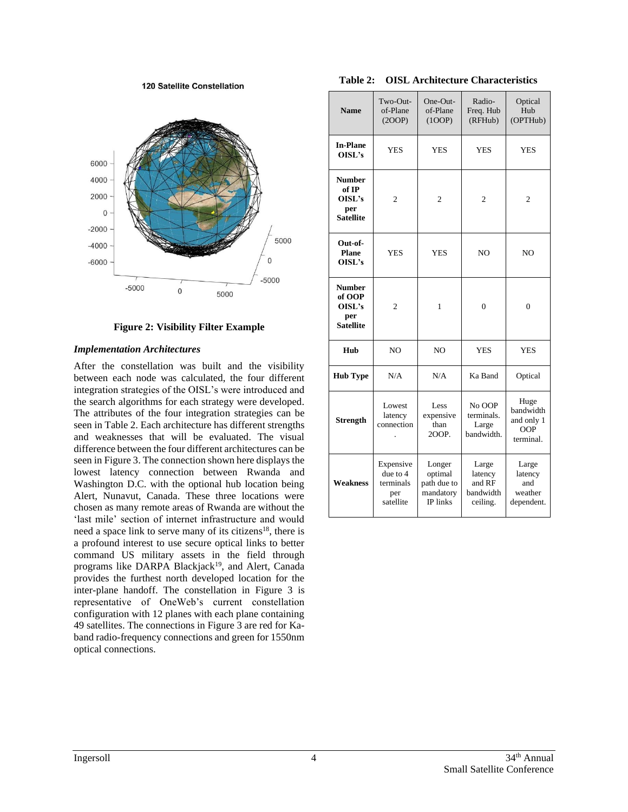120 Satellite Constellation



**Figure 2: Visibility Filter Example**

### <span id="page-3-0"></span>*Implementation Architectures*

After the constellation was built and the visibility between each node was calculated, the four different integration strategies of the OISL's were introduced and the search algorithms for each strategy were developed. The attributes of the four integration strategies can be seen in [Table 2.](#page-3-1) Each architecture has different strengths and weaknesses that will be evaluated. The visual difference between the four different architectures can be seen in [Figure 3.](#page-4-0) The connection shown here displays the lowest latency connection between Rwanda and Washington D.C. with the optional hub location being Alert, Nunavut, Canada. These three locations were chosen as many remote areas of Rwanda are without the 'last mile' section of internet infrastructure and would need a space link to serve many of its citizens<sup>18</sup>, there is a profound interest to use secure optical links to better command US military assets in the field through programs like DARPA Blackjack<sup>19</sup>, and Alert, Canada provides the furthest north developed location for the inter-plane handoff. The constellation in [Figure 3](#page-4-0) is representative of OneWeb's current constellation configuration with 12 planes with each plane containing 49 satellites. The connections in [Figure 3](#page-4-0) are red for Kaband radio-frequency connections and green for 1550nm optical connections.

**Table 2: OISL Architecture Characteristics**

<span id="page-3-1"></span>

| <b>Name</b>                                                  | $Two-Out-$<br>of-Plane<br>(2OOP)                       | $One-Out-$<br>of-Plane<br>(100P)                          | Radio-<br>Freq. Hub<br>(RFHub)                      | Optical<br>Hub<br>(OPTHub)                          |
|--------------------------------------------------------------|--------------------------------------------------------|-----------------------------------------------------------|-----------------------------------------------------|-----------------------------------------------------|
| <b>In-Plane</b><br>OISL's                                    | <b>YES</b>                                             | YES                                                       | YES                                                 | <b>YES</b>                                          |
| <b>Number</b><br>of IP<br>OISL's<br>per<br><b>Satellite</b>  | 2                                                      | 2                                                         | 2                                                   | 2                                                   |
| Out-of-<br>Plane<br>OISL's                                   | <b>YES</b>                                             | <b>YES</b>                                                | N <sub>O</sub>                                      | N <sub>O</sub>                                      |
| <b>Number</b><br>of OOP<br>OISL's<br>per<br><b>Satellite</b> | $\overline{2}$                                         | $\mathbf{1}$                                              | $\overline{0}$                                      | $\theta$                                            |
| Hub                                                          | N <sub>O</sub>                                         | N <sub>O</sub>                                            | <b>YES</b>                                          | <b>YES</b>                                          |
| <b>Hub Type</b>                                              | N/A                                                    | N/A                                                       | Ka Band                                             | Optical                                             |
| <b>Strength</b>                                              | Lowest<br>latency<br>connection                        | Less<br>expensive<br>than<br>200P.                        | No OOP<br>terminals.<br>Large<br>bandwidth.         | Huge<br>bandwidth<br>and only 1<br>OOP<br>terminal. |
| <b>Weakness</b>                                              | Expensive<br>due to 4<br>terminals<br>per<br>satellite | Longer<br>optimal<br>path due to<br>mandatory<br>IP links | Large<br>latency<br>and RF<br>bandwidth<br>ceiling. | Large<br>latency<br>and<br>weather<br>dependent.    |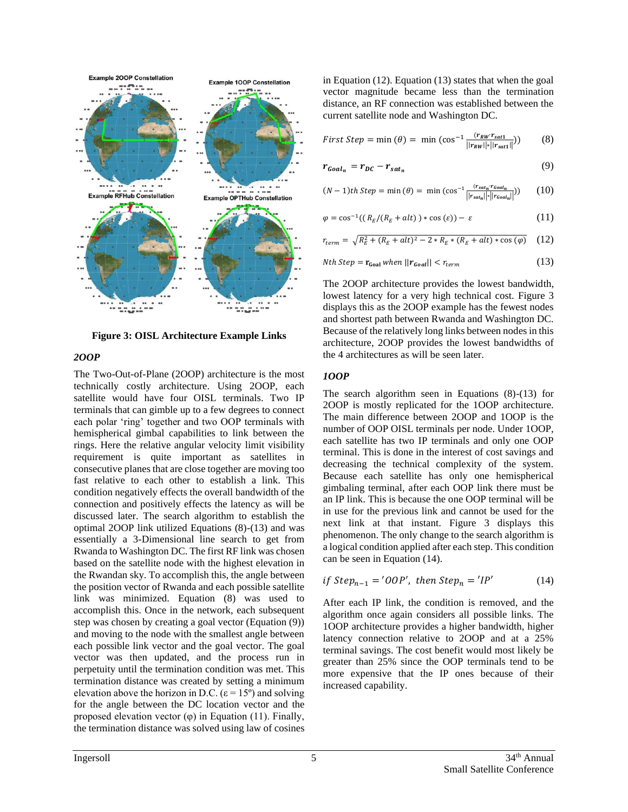

<span id="page-4-0"></span>**Figure 3: OISL Architecture Example Links**

#### *2OOP*

The Two-Out-of-Plane (2OOP) architecture is the most technically costly architecture. Using 2OOP, each satellite would have four OISL terminals. Two IP terminals that can gimble up to a few degrees to connect each polar 'ring' together and two OOP terminals with hemispherical gimbal capabilities to link between the rings. Here the relative angular velocity limit visibility requirement is quite important as satellites in consecutive planes that are close together are moving too fast relative to each other to establish a link. This condition negatively effects the overall bandwidth of the connection and positively effects the latency as will be discussed later. The search algorithm to establish the optimal 2OOP link utilized Equations (8)-(13) and was essentially a 3-Dimensional line search to get from Rwanda to Washington DC. The first RF link was chosen based on the satellite node with the highest elevation in the Rwandan sky. To accomplish this, the angle between the position vector of Rwanda and each possible satellite link was minimized. Equation (8) was used to accomplish this. Once in the network, each subsequent step was chosen by creating a goal vector (Equation (9)) and moving to the node with the smallest angle between each possible link vector and the goal vector. The goal vector was then updated, and the process run in perpetuity until the termination condition was met. This termination distance was created by setting a minimum elevation above the horizon in D.C. ( $\varepsilon$  = 15°) and solving for the angle between the DC location vector and the proposed elevation vector  $(\varphi)$  in Equation (11). Finally, the termination distance was solved using law of cosines

in Equation (12). Equation (13) states that when the goal vector magnitude became less than the termination distance, an RF connection was established between the current satellite node and Washington DC.

*First Step* = min (
$$
\theta
$$
) = min (cos<sup>-1</sup>  $\frac{(r_{RW}r_{sat1})}{||r_{RW}|| ||r_{sat1}||})$ ) (8)

$$
r_{Goal_n} = r_{DC} - r_{sat_n} \tag{9}
$$

$$
(N-1)th\,Step = \min(\theta) = \min(\cos^{-1}\frac{(r_{stat_n} \cdot r_{goal_n})}{||r_{stat_n}|| || r_{goal_n}||}) \qquad (10)
$$

$$
\varphi = \cos^{-1}((R_E/(R_E + alt)) * \cos(\varepsilon)) - \varepsilon \tag{11}
$$

$$
r_{term} = \sqrt{R_E^2 + (R_E + alt)^2 - 2 * R_E * (R_E + alt) * \cos(\varphi)}
$$
 (12)

Nth Step = 
$$
\mathbf{r}_{\text{Goal}}
$$
 when  $||\mathbf{r}_{\text{Goal}}|| < r_{\text{term}}$  (13)

The 2OOP architecture provides the lowest bandwidth, lowest latency for a very high technical cost. [Figure 3](#page-4-0) displays this as the 2OOP example has the fewest nodes and shortest path between Rwanda and Washington DC. Because of the relatively long links between nodes in this architecture, 2OOP provides the lowest bandwidths of the 4 architectures as will be seen later.

#### *1OOP*

The search algorithm seen in Equations (8)-(13) for 2OOP is mostly replicated for the 1OOP architecture. The main difference between 2OOP and 1OOP is the number of OOP OISL terminals per node. Under 1OOP, each satellite has two IP terminals and only one OOP terminal. This is done in the interest of cost savings and decreasing the technical complexity of the system. Because each satellite has only one hemispherical gimbaling terminal, after each OOP link there must be an IP link. This is because the one OOP terminal will be in use for the previous link and cannot be used for the next link at that instant. [Figure 3](#page-4-0) displays this phenomenon. The only change to the search algorithm is a logical condition applied after each step. This condition can be seen in Equation (14).

$$
if Step_{n-1} = 'OOP', then Step_n = 'IP'
$$
 (14)

After each IP link, the condition is removed, and the algorithm once again considers all possible links. The 1OOP architecture provides a higher bandwidth, higher latency connection relative to 2OOP and at a 25% terminal savings. The cost benefit would most likely be greater than 25% since the OOP terminals tend to be more expensive that the IP ones because of their increased capability.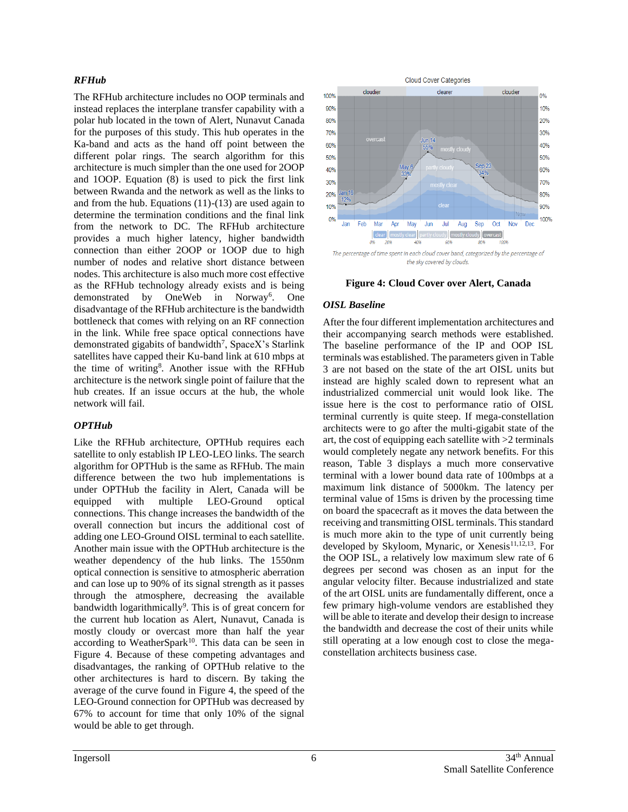### *RFHub*

The RFHub architecture includes no OOP terminals and instead replaces the interplane transfer capability with a polar hub located in the town of Alert, Nunavut Canada for the purposes of this study. This hub operates in the Ka-band and acts as the hand off point between the different polar rings. The search algorithm for this architecture is much simpler than the one used for 2OOP and 1OOP. Equation (8) is used to pick the first link between Rwanda and the network as well as the links to and from the hub. Equations  $(11)-(13)$  are used again to determine the termination conditions and the final link from the network to DC. The RFHub architecture provides a much higher latency, higher bandwidth connection than either 2OOP or 1OOP due to high number of nodes and relative short distance between nodes. This architecture is also much more cost effective as the RFHub technology already exists and is being demonstrated by OneWeb in Norway<sup>6</sup>. One disadvantage of the RFHub architecture is the bandwidth bottleneck that comes with relying on an RF connection in the link. While free space optical connections have demonstrated gigabits of bandwidth<sup>7</sup>, SpaceX's Starlink satellites have capped their Ku-band link at 610 mbps at the time of writing<sup>8</sup>. Another issue with the RFHub architecture is the network single point of failure that the hub creates. If an issue occurs at the hub, the whole network will fail.

## *OPTHub*

Like the RFHub architecture, OPTHub requires each satellite to only establish IP LEO-LEO links. The search algorithm for OPTHub is the same as RFHub. The main difference between the two hub implementations is under OPTHub the facility in Alert, Canada will be equipped with multiple LEO-Ground optical connections. This change increases the bandwidth of the overall connection but incurs the additional cost of adding one LEO-Ground OISL terminal to each satellite. Another main issue with the OPTHub architecture is the weather dependency of the hub links. The 1550nm optical connection is sensitive to atmospheric aberration and can lose up to 90% of its signal strength as it passes through the atmosphere, decreasing the available bandwidth logarithmically<sup>9</sup>. This is of great concern for the current hub location as Alert, Nunavut, Canada is mostly cloudy or overcast more than half the year according to WeatherSpark<sup>10</sup>. This data can be seen in [Figure 4.](#page-5-0) Because of these competing advantages and disadvantages, the ranking of OPTHub relative to the other architectures is hard to discern. By taking the average of the curve found in [Figure 4,](#page-5-0) the speed of the LEO-Ground connection for OPTHub was decreased by 67% to account for time that only 10% of the signal would be able to get through.



**Figure 4: Cloud Cover over Alert, Canada**

## <span id="page-5-0"></span>*OISL Baseline*

After the four different implementation architectures and their accompanying search methods were established. The baseline performance of the IP and OOP ISL terminals was established. The parameters given i[n Table](#page-6-0)  [3](#page-6-0) are not based on the state of the art OISL units but instead are highly scaled down to represent what an industrialized commercial unit would look like. The issue here is the cost to performance ratio of OISL terminal currently is quite steep. If mega-constellation architects were to go after the multi-gigabit state of the art, the cost of equipping each satellite with >2 terminals would completely negate any network benefits. For this reason, [Table 3](#page-6-0) displays a much more conservative terminal with a lower bound data rate of 100mbps at a maximum link distance of 5000km. The latency per terminal value of 15ms is driven by the processing time on board the spacecraft as it moves the data between the receiving and transmitting OISL terminals. This standard is much more akin to the type of unit currently being developed by Skyloom, Mynaric, or Xenesis<sup>11,12,13</sup>. For the OOP ISL, a relatively low maximum slew rate of 6 degrees per second was chosen as an input for the angular velocity filter. Because industrialized and state of the art OISL units are fundamentally different, once a few primary high-volume vendors are established they will be able to iterate and develop their design to increase the bandwidth and decrease the cost of their units while still operating at a low enough cost to close the megaconstellation architects business case.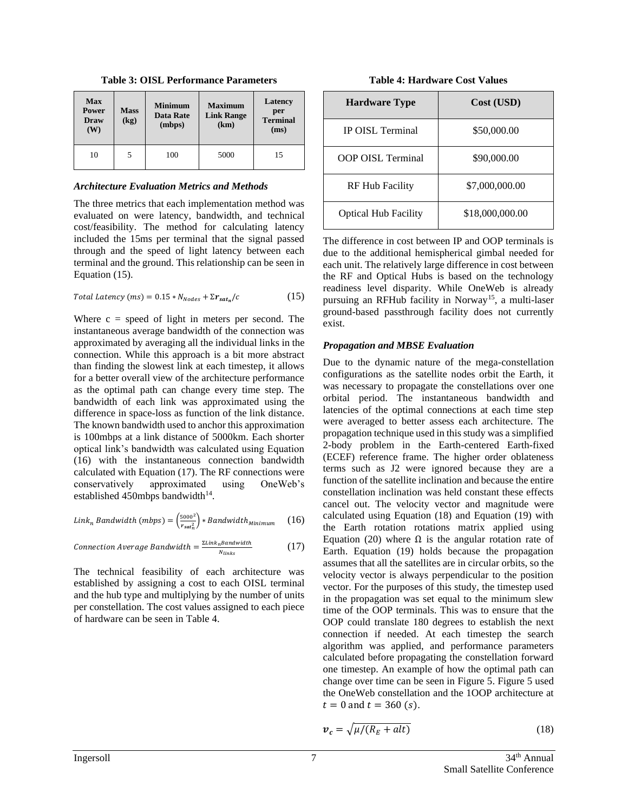<span id="page-6-0"></span>

| <b>Max</b><br>Power<br>Draw<br>(W) | <b>Mass</b><br>(kg) | <b>Minimum</b><br>Data Rate<br>(mbps) | <b>Maximum</b><br><b>Link Range</b><br>(km) | Latency<br>per<br><b>Terminal</b><br>(ms) |
|------------------------------------|---------------------|---------------------------------------|---------------------------------------------|-------------------------------------------|
| 10                                 | 5                   | 100                                   | 5000                                        | 15                                        |

**Table 3: OISL Performance Parameters**

#### *Architecture Evaluation Metrics and Methods*

The three metrics that each implementation method was evaluated on were latency, bandwidth, and technical cost/feasibility. The method for calculating latency included the 15ms per terminal that the signal passed through and the speed of light latency between each terminal and the ground. This relationship can be seen in Equation (15).

$$
Total Latency (ms) = 0.15 * N_{Nodes} + \Sigma r_{sat_n}/c
$$
 (15)

Where  $c = speed$  of light in meters per second. The instantaneous average bandwidth of the connection was approximated by averaging all the individual links in the connection. While this approach is a bit more abstract than finding the slowest link at each timestep, it allows for a better overall view of the architecture performance as the optimal path can change every time step. The bandwidth of each link was approximated using the difference in space-loss as function of the link distance. The known bandwidth used to anchor this approximation is 100mbps at a link distance of 5000km. Each shorter optical link's bandwidth was calculated using Equation (16) with the instantaneous connection bandwidth calculated with Equation (17). The RF connections were conservatively approximated using OneWeb's established 450mbps bandwidth $14$ .

$$
Link_n\ Bandwidth\ (mbps) = \left(\frac{5000^2}{r_{sat_n^2}}\right) * Bandwidth_{Minimum} \qquad (16)
$$

*Connection Average Bandwidth* = 
$$
\frac{\Sigma Link_{n}Bandwidth}{N_{links}}
$$
 (17)

The technical feasibility of each architecture was established by assigning a cost to each OISL terminal and the hub type and multiplying by the number of units per constellation. The cost values assigned to each piece of hardware can be seen in [Table 4.](#page-6-1)

**Table 4: Hardware Cost Values**

<span id="page-6-1"></span>

| <b>Hardware Type</b>        | Cost (USD)      |
|-----------------------------|-----------------|
| IP OISL Terminal            | \$50,000.00     |
| <b>OOP OISL Terminal</b>    | \$90,000.00     |
| <b>RF Hub Facility</b>      | \$7,000,000.00  |
| <b>Optical Hub Facility</b> | \$18,000,000.00 |

The difference in cost between IP and OOP terminals is due to the additional hemispherical gimbal needed for each unit. The relatively large difference in cost between the RF and Optical Hubs is based on the technology readiness level disparity. While OneWeb is already pursuing an RFHub facility in Norway<sup>15</sup>, a multi-laser ground-based passthrough facility does not currently exist.

## *Propagation and MBSE Evaluation*

Due to the dynamic nature of the mega-constellation configurations as the satellite nodes orbit the Earth, it was necessary to propagate the constellations over one orbital period. The instantaneous bandwidth and latencies of the optimal connections at each time step were averaged to better assess each architecture. The propagation technique used in this study was a simplified 2-body problem in the Earth-centered Earth-fixed (ECEF) reference frame. The higher order oblateness terms such as J2 were ignored because they are a function of the satellite inclination and because the entire constellation inclination was held constant these effects cancel out. The velocity vector and magnitude were calculated using Equation (18) and Equation (19) with the Earth rotation rotations matrix applied using Equation (20) where  $Ω$  is the angular rotation rate of Earth. Equation (19) holds because the propagation assumes that all the satellites are in circular orbits, so the velocity vector is always perpendicular to the position vector. For the purposes of this study, the timestep used in the propagation was set equal to the minimum slew time of the OOP terminals. This was to ensure that the OOP could translate 180 degrees to establish the next connection if needed. At each timestep the search algorithm was applied, and performance parameters calculated before propagating the constellation forward one timestep. An example of how the optimal path can change over time can be seen in [Figure 5. Figure 5](#page-7-0) used the OneWeb constellation and the 1OOP architecture at  $t = 0$  and  $t = 360$  (s).

$$
v_c = \sqrt{\mu/(R_E + alt)}\tag{18}
$$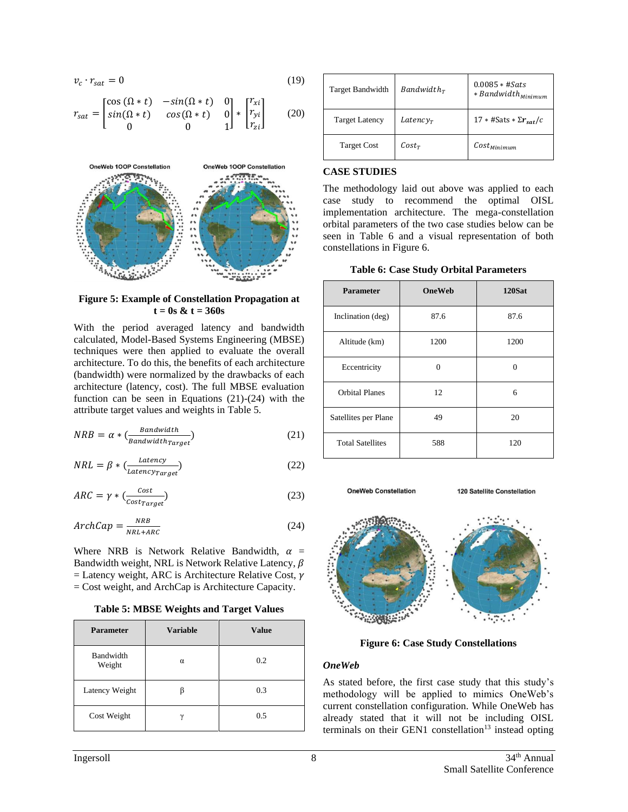$$
v_c \cdot r_{sat} = 0 \tag{19}
$$

$$
r_{sat} = \begin{bmatrix} \cos(\Omega * t) & -\sin(\Omega * t) & 0 \\ \sin(\Omega * t) & \cos(\Omega * t) & 0 \\ 0 & 0 & 1 \end{bmatrix} * \begin{bmatrix} r_{xi} \\ r_{yi} \\ r_{zi} \end{bmatrix}
$$
 (20)



<span id="page-7-0"></span>**Figure 5: Example of Constellation Propagation at t = 0s & t = 360s**

With the period averaged latency and bandwidth calculated, Model-Based Systems Engineering (MBSE) techniques were then applied to evaluate the overall architecture. To do this, the benefits of each architecture (bandwidth) were normalized by the drawbacks of each architecture (latency, cost). The full MBSE evaluation function can be seen in Equations  $(21)-(24)$  with the attribute target values and weights in [Table 5.](#page-7-1)

$$
NRB = \alpha * \left(\frac{Bandwidth}{Bandwidth_{target}}\right) \tag{21}
$$

$$
NRL = \beta * \left(\frac{Latency}{Latency_{Target}}\right) \tag{22}
$$

$$
ARC = \gamma * \left(\frac{Cost}{Cost_{target}}\right) \tag{23}
$$

$$
ArchCap = \frac{NRB}{NRL + ARC}
$$
 (24)

Where NRB is Network Relative Bandwidth,  $\alpha$  = Bandwidth weight, NRL is Network Relative Latency,  $\beta$  $=$  Latency weight, ARC is Architecture Relative Cost,  $\gamma$ = Cost weight, and ArchCap is Architecture Capacity.

**Table 5: MBSE Weights and Target Values**

<span id="page-7-1"></span>

| <b>Parameter</b>    | <b>Variable</b> | <b>Value</b> |
|---------------------|-----------------|--------------|
| Bandwidth<br>Weight | α               | 0.2          |
| Latency Weight      |                 | 0.3          |
| Cost Weight         | $\gamma$        | 0.5          |

| <b>Target Bandwidth</b> | $Bandwidth_r$ | $0.0085 * #Sats$<br>* Bandwidth <sub>Minimum</sub> |
|-------------------------|---------------|----------------------------------------------------|
| <b>Target Latency</b>   | $Latency_r$   | $17 * \text{\#Sats} * \Sigma r_{\text{sat}}/c$     |
| <b>Target Cost</b>      | $Cost_T$      | $Cost_{Minimum}$                                   |

#### **CASE STUDIES**

The methodology laid out above was applied to each case study to recommend the optimal OISL implementation architecture. The mega-constellation orbital parameters of the two case studies below can be seen in [Table 6](#page-7-2) and a visual representation of both constellations in [Figure 6.](#page-7-3)

**Table 6: Case Study Orbital Parameters**

<span id="page-7-2"></span>

| <b>Parameter</b>        | OneWeb |      |
|-------------------------|--------|------|
| Inclination (deg)       | 87.6   | 87.6 |
| Altitude (km)           | 1200   | 1200 |
| Eccentricity            | O      | 0    |
| <b>Orbital Planes</b>   | 12     | 6    |
| Satellites per Plane    | 49     | 20   |
| <b>Total Satellites</b> | 588    | 120  |

**OneWeb Constellation** 

**120 Satellite Constellation** 



**Figure 6: Case Study Constellations**

### <span id="page-7-3"></span>*OneWeb*

As stated before, the first case study that this study's methodology will be applied to mimics OneWeb's current constellation configuration. While OneWeb has already stated that it will not be including OISL terminals on their GEN1 constellation<sup>13</sup> instead opting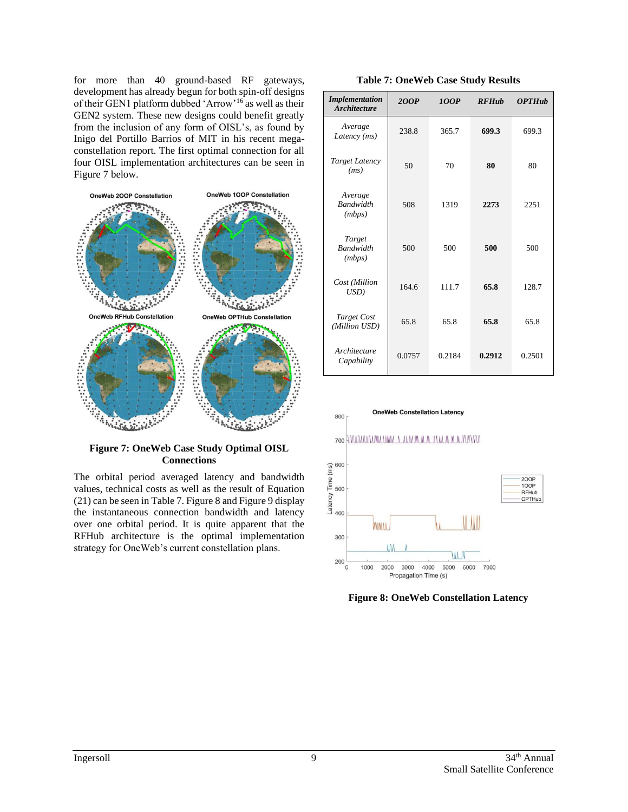for more than 40 ground-based RF gateways, development has already begun for both spin-off designs of their GEN1 platform dubbed 'Arrow'<sup>16</sup> as well as their GEN2 system. These new designs could benefit greatly from the inclusion of any form of OISL's, as found by Inigo del Portillo Barrios of MIT in his recent megaconstellation report. The first optimal connection for all four OISL implementation architectures can be seen in [Figure 7](#page-8-0) below.



### <span id="page-8-0"></span>**Figure 7: OneWeb Case Study Optimal OISL Connections**

The orbital period averaged latency and bandwidth values, technical costs as well as the result of Equation (21) can be seen in [Table 7.](#page-8-1) [Figure 8](#page-8-2) and [Figure 9](#page-9-0) display the instantaneous connection bandwidth and latency over one orbital period. It is quite apparent that the RFHub architecture is the optimal implementation strategy for OneWeb's current constellation plans.

<span id="page-8-1"></span>

| <b>Implementation</b><br><b>Architecture</b> | 2OOP   | <b>100P</b> | <b>RFHub</b> | <b>OPTHub</b> |
|----------------------------------------------|--------|-------------|--------------|---------------|
| Average<br>Latency (ms)                      | 238.8  | 365.7       | 699.3        | 699.3         |
| Target Latency<br>(ms)                       | 50     | 70          | 80           | 80            |
| Average<br><b>Bandwidth</b><br>(mbps)        | 508    | 1319        | 2273         | 2251          |
| Target<br><b>Randwidth</b><br>(mbps)         | 500    | 500         | 500          | 500           |
| Cost (Million<br>USD)                        | 164.6  | 111.7       | 65.8         | 128.7         |
| <b>Target Cost</b><br>(Million USD)          | 65.8   | 65.8        | 65.8         | 65.8          |
| Architecture<br>Capability                   | 0.0757 | 0.2184      | 0.2912       | 0.2501        |



<span id="page-8-2"></span>**Figure 8: OneWeb Constellation Latency**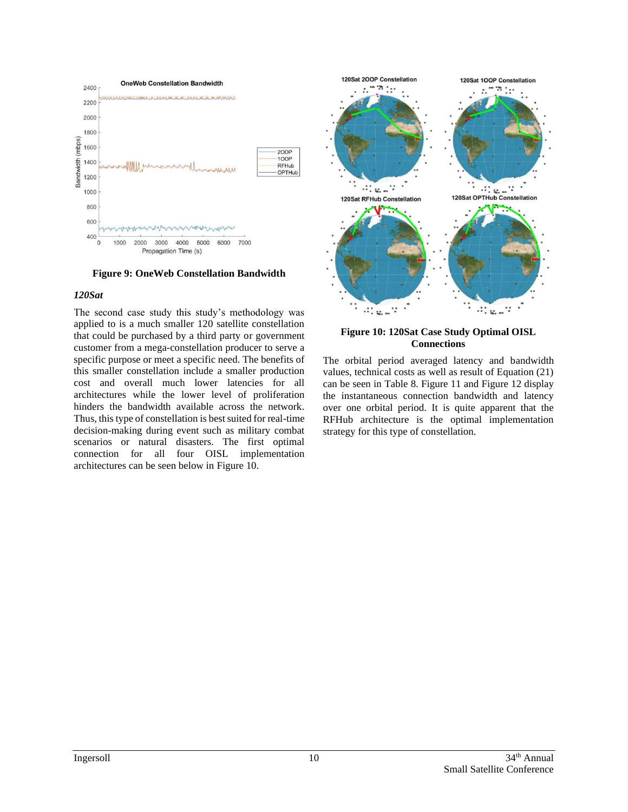

<span id="page-9-0"></span>**Figure 9: OneWeb Constellation Bandwidth**

#### *120Sat*

The second case study this study's methodology was applied to is a much smaller 120 satellite constellation that could be purchased by a third party or government customer from a mega-constellation producer to serve a specific purpose or meet a specific need. The benefits of this smaller constellation include a smaller production cost and overall much lower latencies for all architectures while the lower level of proliferation hinders the bandwidth available across the network. Thus, this type of constellation is best suited for real-time decision-making during event such as military combat scenarios or natural disasters. The first optimal connection for all four OISL implementation architectures can be seen below in [Figure 10.](#page-9-1)



<span id="page-9-1"></span>**Figure 10: 120Sat Case Study Optimal OISL Connections**

The orbital period averaged latency and bandwidth values, technical costs as well as result of Equation (21) can be seen in [Table 8.](#page-10-0) [Figure 11](#page-10-1) and [Figure 12](#page-10-2) display the instantaneous connection bandwidth and latency over one orbital period. It is quite apparent that the RFHub architecture is the optimal implementation strategy for this type of constellation.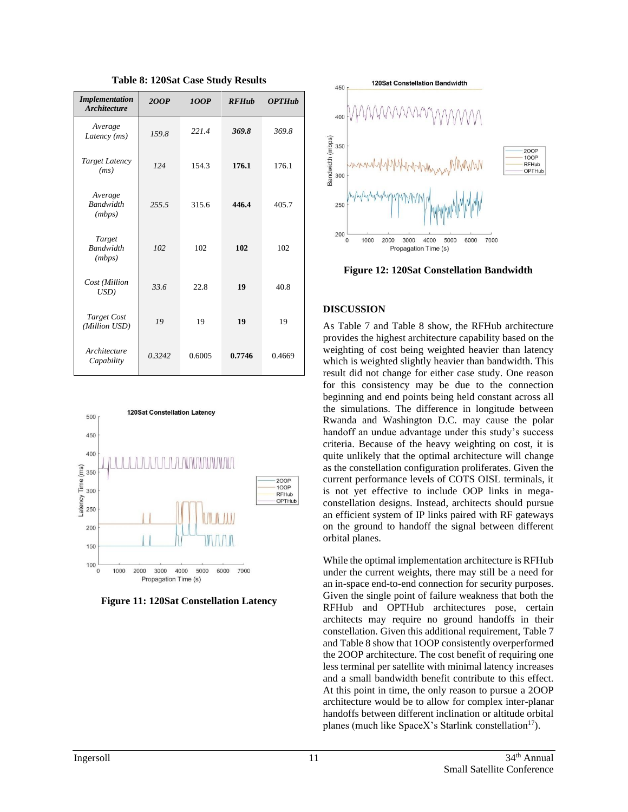<span id="page-10-0"></span>

| <b>Implementation</b><br><b>Architecture</b> | 2OOP    | <b>100P</b> | <b>RFHub</b> | <b>OPTHub</b> |
|----------------------------------------------|---------|-------------|--------------|---------------|
| Average<br>Latency (ms)                      | 159.8   | 221.4       | 369.8        | 369.8         |
| Target Latency<br>(ms)                       | 124     | 154.3       | 176.1        | 176.1         |
| Average<br><b>Bandwidth</b><br>(mbps)        | 2.5.5.5 | 315.6       | 446.4        | 405.7         |
| Target<br><b>Bandwidth</b><br>(mbps)         | 102     | 102         | 102          | 102           |
| Cost (Million<br>USD)                        | 33.6    | 22.8        | 19           | 40.8          |
| Target Cost<br>(Million USD)                 | 19      | 19          | 19           | 19            |
| Architecture<br>Capability                   | 0.3242  | 0.6005      | 0.7746       | 0.4669        |

**Table 8: 120Sat Case Study Results**



<span id="page-10-1"></span>**Figure 11: 120Sat Constellation Latency**



<span id="page-10-2"></span>**Figure 12: 120Sat Constellation Bandwidth**

## **DISCUSSION**

As [Table 7](#page-8-1) and [Table 8](#page-10-0) show, the RFHub architecture provides the highest architecture capability based on the weighting of cost being weighted heavier than latency which is weighted slightly heavier than bandwidth. This result did not change for either case study. One reason for this consistency may be due to the connection beginning and end points being held constant across all the simulations. The difference in longitude between Rwanda and Washington D.C. may cause the polar handoff an undue advantage under this study's success criteria. Because of the heavy weighting on cost, it is quite unlikely that the optimal architecture will change as the constellation configuration proliferates. Given the current performance levels of COTS OISL terminals, it is not yet effective to include OOP links in megaconstellation designs. Instead, architects should pursue an efficient system of IP links paired with RF gateways on the ground to handoff the signal between different orbital planes.

While the optimal implementation architecture is RFHub under the current weights, there may still be a need for an in-space end-to-end connection for security purposes. Given the single point of failure weakness that both the RFHub and OPTHub architectures pose, certain architects may require no ground handoffs in their constellation. Given this additional requirement, [Table 7](#page-8-1) an[d Table 8](#page-10-0) show that 1OOP consistently overperformed the 2OOP architecture. The cost benefit of requiring one less terminal per satellite with minimal latency increases and a small bandwidth benefit contribute to this effect. At this point in time, the only reason to pursue a 2OOP architecture would be to allow for complex inter-planar handoffs between different inclination or altitude orbital planes (much like SpaceX's Starlink constellation<sup>17</sup>).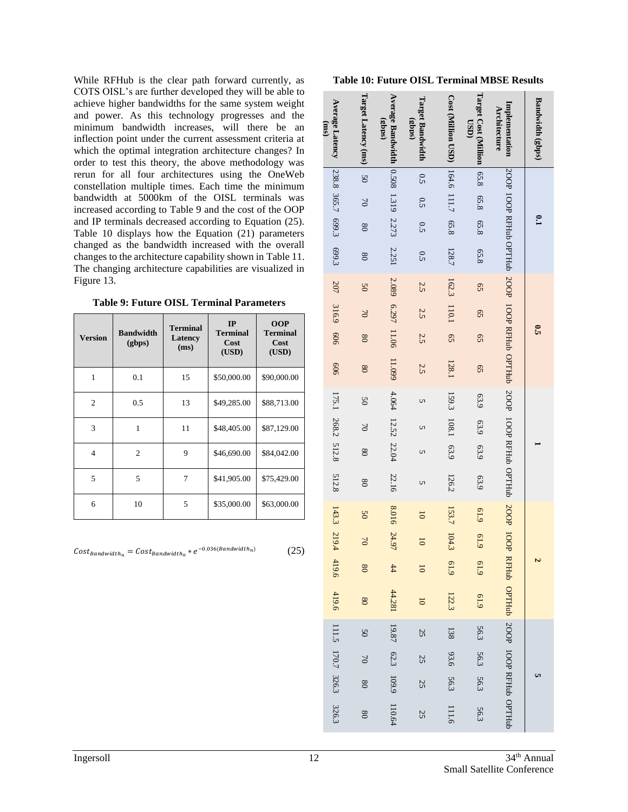While RFHub is the clear path forward currently, as COTS OISL's are further developed they will be able to achieve higher bandwidths for the same system weight and power. As this technology progresses and the minimum bandwidth increases, will there be an inflection point under the current assessment criteria at which the optimal integration architecture changes? In order to test this theory, the above methodology was rerun for all four architectures using the OneWeb constellation multiple times. Each time the minimum bandwidth at 5000km of the OISL terminals was increased according to [Table 9](#page-11-0) and the cost of the OOP and IP terminals decreased according to Equation (25). [Table 10](#page-11-1) displays how the Equation (21) parameters changed as the bandwidth increased with the overall changes to the architecture capability shown in [Table 11.](#page-12-0) The changing architecture capabilities are visualized in [Figure 13.](#page-12-1)

<span id="page-11-0"></span>

| <b>Table 9: Future OISL Terminal Parameters</b> |  |  |  |
|-------------------------------------------------|--|--|--|
|-------------------------------------------------|--|--|--|

| <b>Version</b> | <b>Bandwidth</b><br>(gbps) | <b>Terminal</b><br>Latency<br>(ms) | IP<br><b>Terminal</b><br>Cost<br>(USD) | <b>OOP</b><br><b>Terminal</b><br>Cost<br>(USD) |
|----------------|----------------------------|------------------------------------|----------------------------------------|------------------------------------------------|
| 1              | 0.1                        | 15                                 | \$50,000.00                            | \$90,000.00                                    |
| $\overline{2}$ | 0.5                        | 13                                 | \$49,285.00                            | \$88,713.00                                    |
| 3              | 1                          | 11                                 | \$48,405.00                            | \$87,129.00                                    |
| $\overline{4}$ | $\overline{2}$             | 9                                  | \$46,690.00                            | \$84,042.00                                    |
| 5              | 5                          | 7                                  | \$41,905.00                            | \$75,429.00                                    |
| 6              | 10                         | 5                                  | \$35,000.00                            | \$63,000.00                                    |

 $Cost_{Bandwidth_n} = Cost_{Bandwidth_0} * e^{-0.036(Bandwidth_n)}$ 

(25)

<span id="page-11-1"></span>

| <b>Table 10: Future OISL Terminal MBSE Results</b> |  |  |  |  |  |
|----------------------------------------------------|--|--|--|--|--|
|----------------------------------------------------|--|--|--|--|--|

| <b>Average Latency</b><br>(ms) | Target Latency (ms) | Average Bandwidth<br>(sqque) | Target Bandwidth<br>(gbps) | <b>Cost (Million USD)</b> | Target Cost (Million<br><b>USD</b> | Implementation<br>Architecture                                                  | Bandwidth (gbps) |
|--------------------------------|---------------------|------------------------------|----------------------------|---------------------------|------------------------------------|---------------------------------------------------------------------------------|------------------|
|                                | 50                  |                              | 0.5                        |                           | 85.8                               |                                                                                 |                  |
|                                | $\approx$           | 0.508 1.319 2.273            | 0.5                        | 164.6 111.7               | 8.8                                |                                                                                 |                  |
| 238.8 365.7 699.3              | $\frac{8}{3}$       |                              | 0.5                        | 65.8                      | 65.8                               |                                                                                 | $\mathbf{e}$     |
| 699.3                          | $\frac{8}{3}$       | 2.251                        | 0.5                        | 128.7                     | 65.8                               |                                                                                 |                  |
| 207                            | 50                  | 2.089                        | 2.5                        | 162.3                     | 95                                 |                                                                                 |                  |
| 316.9                          | $\approx$           | 6.297                        | 2.5                        | 110.1                     | $\mathcal{S}$                      |                                                                                 |                  |
| 909                            | $\overline{08}$     | 11.06                        | 2.5                        | $\overline{5}$            | $\overline{5}$                     |                                                                                 | ິຕິ              |
| 909                            | $\overline{08}$     | 11.099                       | 2.5                        | 128.1                     | 95                                 | 2001 IOOP NATHER POST DOOP RATHER OPTIME 2007 IOOP RATHER OPTIME 2000 IOOP DOOP |                  |
|                                | 50                  | 4.064                        | U                          | 159.3                     | 63.9                               |                                                                                 |                  |
|                                | $\approx$           | 12.52                        | U                          | 108.1                     | 63.9                               |                                                                                 |                  |
| 175.1 268.2 512.8              | $\overline{08}$     | 22.04                        | U                          | 63.9                      | 63.9                               |                                                                                 |                  |
| 512.8                          | $\overline{08}$     | 22.16                        | U                          | 126.2                     | 63.9                               |                                                                                 |                  |
|                                | $\overline{50}$     | 8.016                        | $\overline{0}$             | 153.7                     | 619                                |                                                                                 |                  |
| 143.3 219.4                    | $\sim$              | 24.97                        | $\overline{0}$             | 104.3                     | 61.9                               |                                                                                 |                  |
| 419.6                          | $\overline{08}$     | 44                           | $\overline{0}$             | 61.9                      | 61.9                               |                                                                                 | Ν                |
| 419.6                          | $\overline{08}$     | 44.281                       | $\overline{0}$             | 122.3                     | 61.9                               | RFHub OPTHub 200P 100P RFHub OPTHub                                             |                  |
| 111.5 170.7 326.3              | $\overline{50}$     | 19.87                        | 25                         | 138                       | 56.3                               |                                                                                 |                  |
|                                | $\sim$              | 62.3                         | 25                         | 93.6                      | 56.3                               |                                                                                 |                  |
|                                | $\frac{8}{2}$       | 109.9                        | 25                         | 56.3                      | 56.3                               |                                                                                 |                  |
| 326.3                          | $\overline{08}$     | 110.64                       | 25                         | 111.6                     | 56.3                               |                                                                                 |                  |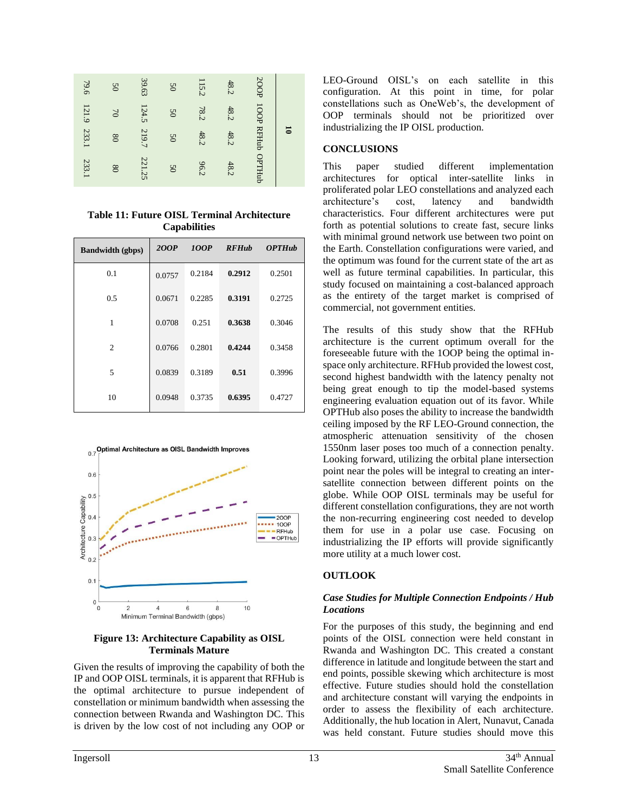| 124.5<br>121.9<br>78.2<br>48.2<br>$\approx$<br>$\overline{50}$                           |   |  |
|------------------------------------------------------------------------------------------|---|--|
|                                                                                          |   |  |
| 233.1<br>219.7<br>48.2<br>48.2<br>$\overline{50}$<br>$\overline{8}$                      | 5 |  |
| 100P RFHub OPTHub<br>221.25<br>233.1<br>48.2<br>96.2<br>$\overline{8}$<br>$\overline{5}$ |   |  |

<span id="page-12-0"></span>**Table 11: Future OISL Terminal Architecture Capabilities**

| <b>Bandwidth</b> (gbps) | 2OOP   | 100P   | <b>RFHub</b> | <b>OPTHub</b> |
|-------------------------|--------|--------|--------------|---------------|
| 0.1                     | 0.0757 | 0.2184 | 0.2912       | 0.2501        |
| 0.5                     | 0.0671 | 0.2285 | 0.3191       | 0.2725        |
| 1                       | 0.0708 | 0.251  | 0.3638       | 0.3046        |
| $\overline{2}$          | 0.0766 | 0.2801 | 0.4244       | 0.3458        |
| 5                       | 0.0839 | 0.3189 | 0.51         | 0.3996        |
| 10                      | 0.0948 | 0.3735 | 0.6395       | 0.4727        |



#### <span id="page-12-1"></span>**Figure 13: Architecture Capability as OISL Terminals Mature**

Given the results of improving the capability of both the IP and OOP OISL terminals, it is apparent that RFHub is the optimal architecture to pursue independent of constellation or minimum bandwidth when assessing the connection between Rwanda and Washington DC. This is driven by the low cost of not including any OOP or LEO-Ground OISL's on each satellite in this configuration. At this point in time, for polar constellations such as OneWeb's, the development of OOP terminals should not be prioritized over industrializing the IP OISL production.

# **CONCLUSIONS**

This paper studied different implementation architectures for optical inter-satellite links in proliferated polar LEO constellations and analyzed each architecture's cost, latency and bandwidth characteristics. Four different architectures were put forth as potential solutions to create fast, secure links with minimal ground network use between two point on the Earth. Constellation configurations were varied, and the optimum was found for the current state of the art as well as future terminal capabilities. In particular, this study focused on maintaining a cost-balanced approach as the entirety of the target market is comprised of commercial, not government entities.

The results of this study show that the RFHub architecture is the current optimum overall for the foreseeable future with the 1OOP being the optimal inspace only architecture. RFHub provided the lowest cost, second highest bandwidth with the latency penalty not being great enough to tip the model-based systems engineering evaluation equation out of its favor. While OPTHub also poses the ability to increase the bandwidth ceiling imposed by the RF LEO-Ground connection, the atmospheric attenuation sensitivity of the chosen 1550nm laser poses too much of a connection penalty. Looking forward, utilizing the orbital plane intersection point near the poles will be integral to creating an intersatellite connection between different points on the globe. While OOP OISL terminals may be useful for different constellation configurations, they are not worth the non-recurring engineering cost needed to develop them for use in a polar use case. Focusing on industrializing the IP efforts will provide significantly more utility at a much lower cost.

# **OUTLOOK**

## *Case Studies for Multiple Connection Endpoints / Hub Locations*

For the purposes of this study, the beginning and end points of the OISL connection were held constant in Rwanda and Washington DC. This created a constant difference in latitude and longitude between the start and end points, possible skewing which architecture is most effective. Future studies should hold the constellation and architecture constant will varying the endpoints in order to assess the flexibility of each architecture. Additionally, the hub location in Alert, Nunavut, Canada was held constant. Future studies should move this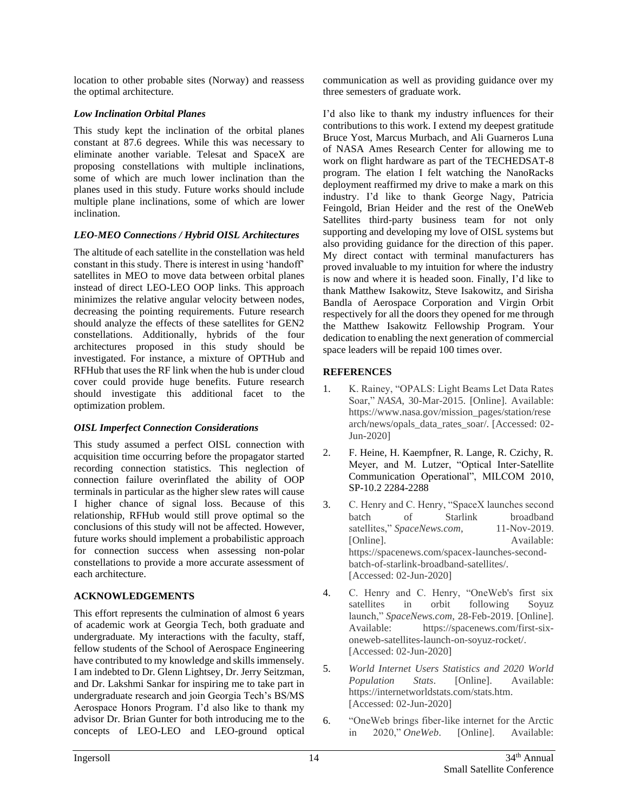location to other probable sites (Norway) and reassess the optimal architecture.

# *Low Inclination Orbital Planes*

This study kept the inclination of the orbital planes constant at 87.6 degrees. While this was necessary to eliminate another variable. Telesat and SpaceX are proposing constellations with multiple inclinations, some of which are much lower inclination than the planes used in this study. Future works should include multiple plane inclinations, some of which are lower inclination.

# *LEO-MEO Connections / Hybrid OISL Architectures*

The altitude of each satellite in the constellation was held constant in this study. There is interest in using 'handoff' satellites in MEO to move data between orbital planes instead of direct LEO-LEO OOP links. This approach minimizes the relative angular velocity between nodes, decreasing the pointing requirements. Future research should analyze the effects of these satellites for GEN2 constellations. Additionally, hybrids of the four architectures proposed in this study should be investigated. For instance, a mixture of OPTHub and RFHub that uses the RF link when the hub is under cloud cover could provide huge benefits. Future research should investigate this additional facet to the optimization problem.

# *OISL Imperfect Connection Considerations*

This study assumed a perfect OISL connection with acquisition time occurring before the propagator started recording connection statistics. This neglection of connection failure overinflated the ability of OOP terminals in particular as the higher slew rates will cause I higher chance of signal loss. Because of this relationship, RFHub would still prove optimal so the conclusions of this study will not be affected. However, future works should implement a probabilistic approach for connection success when assessing non-polar constellations to provide a more accurate assessment of each architecture.

# **ACKNOWLEDGEMENTS**

This effort represents the culmination of almost 6 years of academic work at Georgia Tech, both graduate and undergraduate. My interactions with the faculty, staff, fellow students of the School of Aerospace Engineering have contributed to my knowledge and skills immensely. I am indebted to Dr. Glenn Lightsey, Dr. Jerry Seitzman, and Dr. Lakshmi Sankar for inspiring me to take part in undergraduate research and join Georgia Tech's BS/MS Aerospace Honors Program. I'd also like to thank my advisor Dr. Brian Gunter for both introducing me to the concepts of LEO-LEO and LEO-ground optical

communication as well as providing guidance over my three semesters of graduate work.

I'd also like to thank my industry influences for their contributions to this work. I extend my deepest gratitude Bruce Yost, Marcus Murbach, and Ali Guarneros Luna of NASA Ames Research Center for allowing me to work on flight hardware as part of the TECHEDSAT-8 program. The elation I felt watching the NanoRacks deployment reaffirmed my drive to make a mark on this industry. I'd like to thank George Nagy, Patricia Feingold, Brian Heider and the rest of the OneWeb Satellites third-party business team for not only supporting and developing my love of OISL systems but also providing guidance for the direction of this paper. My direct contact with terminal manufacturers has proved invaluable to my intuition for where the industry is now and where it is headed soon. Finally, I'd like to thank Matthew Isakowitz, Steve Isakowitz, and Sirisha Bandla of Aerospace Corporation and Virgin Orbit respectively for all the doors they opened for me through the Matthew Isakowitz Fellowship Program. Your dedication to enabling the next generation of commercial space leaders will be repaid 100 times over.

# **REFERENCES**

- 1. K. Rainey, "OPALS: Light Beams Let Data Rates Soar," *NASA*, 30-Mar-2015. [Online]. Available: https://www.nasa.gov/mission\_pages/station/rese arch/news/opals\_data\_rates\_soar/. [Accessed: 02- Jun-2020]
- 2. F. Heine, H. Kaempfner, R. Lange, R. Czichy, R. Meyer, and M. Lutzer, "Optical Inter-Satellite Communication Operational", MILCOM 2010, SP-10.2 2284-2288
- 3. C. Henry and C. Henry, "SpaceX launches second batch of Starlink broadband satellites," *SpaceNews.com*, 11-Nov-2019. [Online]. Available: https://spacenews.com/spacex-launches-secondbatch-of-starlink-broadband-satellites/. [Accessed: 02-Jun-2020]
- 4. C. Henry and C. Henry, "OneWeb's first six satellites in orbit following Soyuz launch," *SpaceNews.com*, 28-Feb-2019. [Online]. Available: https://spacenews.com/first-sixoneweb-satellites-launch-on-soyuz-rocket/. [Accessed: 02-Jun-2020]
- 5. *World Internet Users Statistics and 2020 World Population Stats*. [Online]. Available: https://internetworldstats.com/stats.htm. [Accessed: 02-Jun-2020]
- 6. "OneWeb brings fiber-like internet for the Arctic in 2020," *OneWeb*. [Online]. Available: